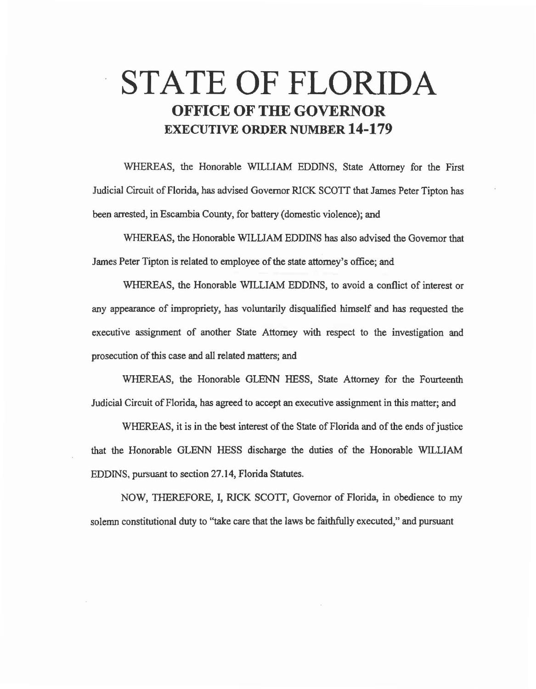## **STATE OF FLORIDA OFFICE OF THE GOVERNOR EXECUTIVE ORDER NUMBER 14-179**

WHEREAS, the Honorable WILLIAM EDDINS, State Attorney for the First Judicial Circuit of Florida, has advised Governor RlCK SCOTI that James Peter Tipton has been arrested, in Escambia County, for battery (domestic violence); and

WHEREAS, the Honorable WILLIAM EDDINS has also advised the Governor that James Peter Tipton is related to employee of the state attorney's office; and

WHEREAS, the Honorable WILLIAM EDDINS, to avoid a conflict of interest or any appearance of impropriety, has voluntarily disqualified himself and has requested the executive assignment of another State Attorney with respect to the investigation and prosecution of this case and all related matters; and

WHEREAS, the Honorable GLENN HESS, State Attorney for the Fourteenth Judicial Circuit of Florida, has agreed to accept an executive assignment in this matter; and

WHEREAS, it is in the best interest of the State of Florida and of the ends of justice that the Honorable GLENN HESS discharge the duties of the Honorable WILLIAM EDDINS, pursuant to section 27.14, Florida Statutes.

NOW, THEREFORE, I, RICK SCOTI, Governor of Florida, in obedience to my solemn constitutional duty to "take care that the laws be faithfully executed," and pursuant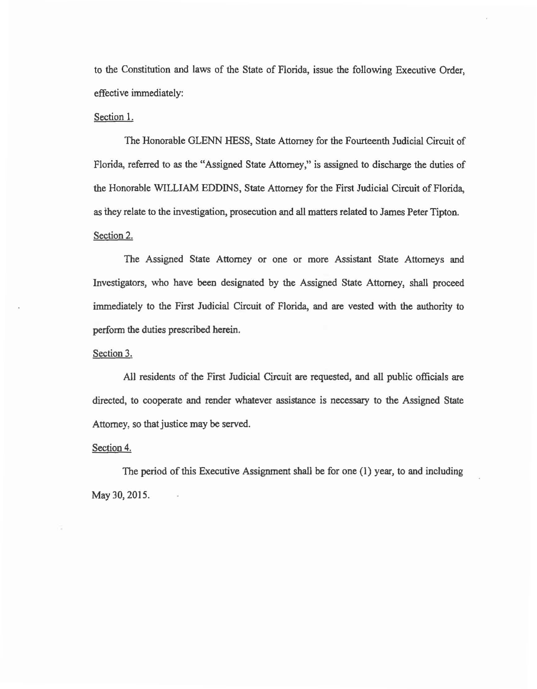to the Constitution and laws of the State of Florida, issue the following Executive Order, effective immediately:

## Section 1.

The Honorable GLENN HESS, State Attorney for the Fourteenth Judicial Circuit of Florida, referred to as the "Assigned State Attorney," is assigned to discharge the duties of the Honorable WILLIAM EDDINS, State Attorney for the First Judicial Circuit of Florida, as they relate to the investigation, prosecution and all matters related to James Peter Tipton. Section 2.

The Assigned State Attorney or one or more Assistant State Attorneys and Investigators, who have been designated by the Assigned State Attorney, shall proceed immediately to the First Judicial Circuit of Florida, and are vested with the authority to perform the duties prescribed herein.

## Section 3.

All residents of the First Judicial Circuit are requested, and all public officials are directed, to cooperate and render whatever assistance is necessary to the Assigned State Attorney, so that justice may be served.

## Section 4.

The period of this Executive Assignment shall be for one (I) year, to and including May 30, 2015.